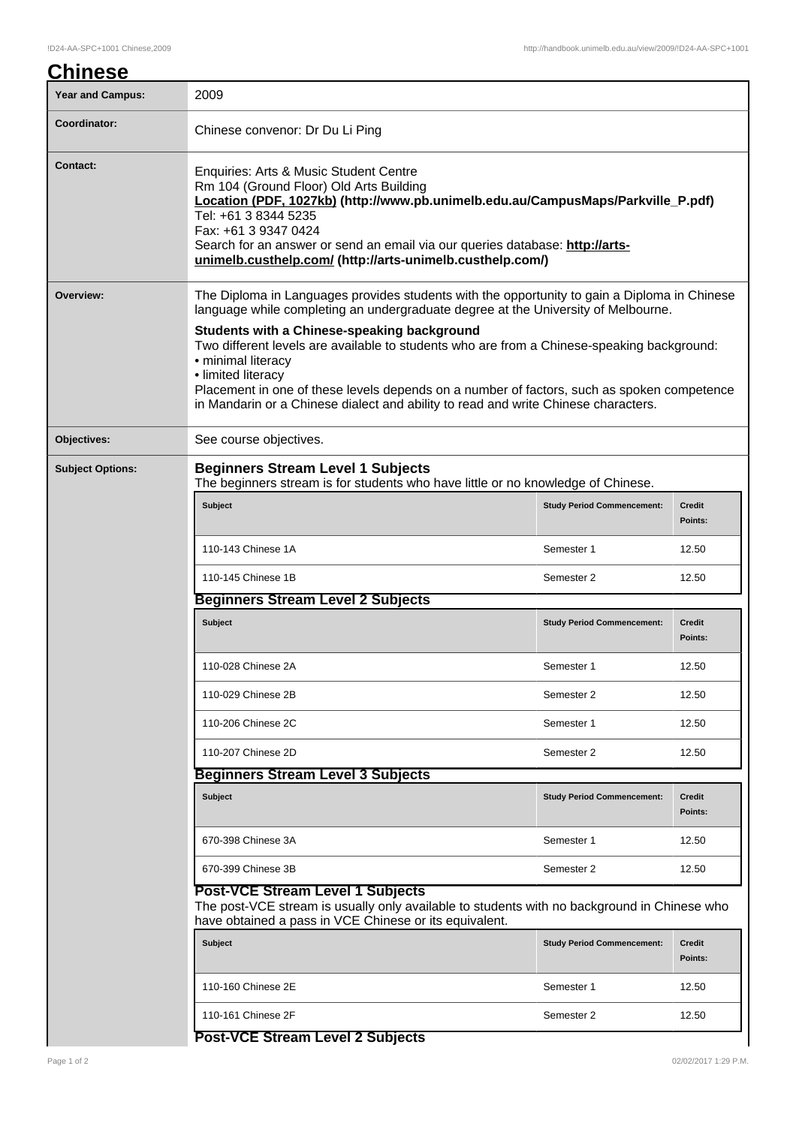| <b>Chinese</b>          |                                                                                                                                                                                                                                                                                                                                                                           |                                   |                          |  |
|-------------------------|---------------------------------------------------------------------------------------------------------------------------------------------------------------------------------------------------------------------------------------------------------------------------------------------------------------------------------------------------------------------------|-----------------------------------|--------------------------|--|
| <b>Year and Campus:</b> | 2009                                                                                                                                                                                                                                                                                                                                                                      |                                   |                          |  |
| Coordinator:            | Chinese convenor: Dr Du Li Ping                                                                                                                                                                                                                                                                                                                                           |                                   |                          |  |
| Contact:                | Enquiries: Arts & Music Student Centre<br>Rm 104 (Ground Floor) Old Arts Building<br>Location (PDF, 1027kb) (http://www.pb.unimelb.edu.au/CampusMaps/Parkville_P.pdf)<br>Tel: +61 3 8344 5235<br>Fax: +61 3 9347 0424<br>Search for an answer or send an email via our queries database: http://arts-<br>unimelb.custhelp.com/ (http://arts-unimelb.custhelp.com/)        |                                   |                          |  |
| Overview:               | The Diploma in Languages provides students with the opportunity to gain a Diploma in Chinese<br>language while completing an undergraduate degree at the University of Melbourne.                                                                                                                                                                                         |                                   |                          |  |
|                         | Students with a Chinese-speaking background<br>Two different levels are available to students who are from a Chinese-speaking background:<br>• minimal literacy<br>• limited literacy<br>Placement in one of these levels depends on a number of factors, such as spoken competence<br>in Mandarin or a Chinese dialect and ability to read and write Chinese characters. |                                   |                          |  |
| Objectives:             | See course objectives.                                                                                                                                                                                                                                                                                                                                                    |                                   |                          |  |
| <b>Subject Options:</b> | <b>Beginners Stream Level 1 Subjects</b><br>The beginners stream is for students who have little or no knowledge of Chinese.                                                                                                                                                                                                                                              |                                   |                          |  |
|                         | <b>Subject</b>                                                                                                                                                                                                                                                                                                                                                            | <b>Study Period Commencement:</b> | <b>Credit</b><br>Points: |  |
|                         | 110-143 Chinese 1A                                                                                                                                                                                                                                                                                                                                                        | Semester 1                        | 12.50                    |  |
|                         | 110-145 Chinese 1B                                                                                                                                                                                                                                                                                                                                                        | Semester 2                        | 12.50                    |  |
|                         | <b>Beginners Stream Level 2 Subjects</b>                                                                                                                                                                                                                                                                                                                                  |                                   |                          |  |
|                         | <b>Subject</b>                                                                                                                                                                                                                                                                                                                                                            | <b>Study Period Commencement:</b> | <b>Credit</b><br>Points: |  |
|                         | 110-028 Chinese 2A                                                                                                                                                                                                                                                                                                                                                        | Semester 1                        | 12.50                    |  |
|                         | 110-029 Chinese 2B                                                                                                                                                                                                                                                                                                                                                        | Semester 2                        | 12.50                    |  |
|                         | 110-206 Chinese 2C                                                                                                                                                                                                                                                                                                                                                        | Semester 1                        | 12.50                    |  |
|                         | 110-207 Chinese 2D                                                                                                                                                                                                                                                                                                                                                        | Semester 2                        | 12.50                    |  |
|                         | <b>Beginners Stream Level 3 Subjects</b>                                                                                                                                                                                                                                                                                                                                  |                                   |                          |  |
|                         | <b>Subject</b>                                                                                                                                                                                                                                                                                                                                                            | <b>Study Period Commencement:</b> | <b>Credit</b><br>Points: |  |
|                         | 670-398 Chinese 3A                                                                                                                                                                                                                                                                                                                                                        | Semester 1                        | 12.50                    |  |
|                         | 670-399 Chinese 3B                                                                                                                                                                                                                                                                                                                                                        | Semester 2                        | 12.50                    |  |
|                         | <b>Post-VCE Stream Level 1 Subjects</b><br>The post-VCE stream is usually only available to students with no background in Chinese who<br>have obtained a pass in VCE Chinese or its equivalent.                                                                                                                                                                          |                                   |                          |  |
|                         | <b>Subject</b>                                                                                                                                                                                                                                                                                                                                                            | <b>Study Period Commencement:</b> | <b>Credit</b><br>Points: |  |
|                         | 110-160 Chinese 2E                                                                                                                                                                                                                                                                                                                                                        | Semester 1                        | 12.50                    |  |
|                         | 110-161 Chinese 2F                                                                                                                                                                                                                                                                                                                                                        | Semester 2                        | 12.50                    |  |

## **Post-VCE Stream Level 2 Subjects**